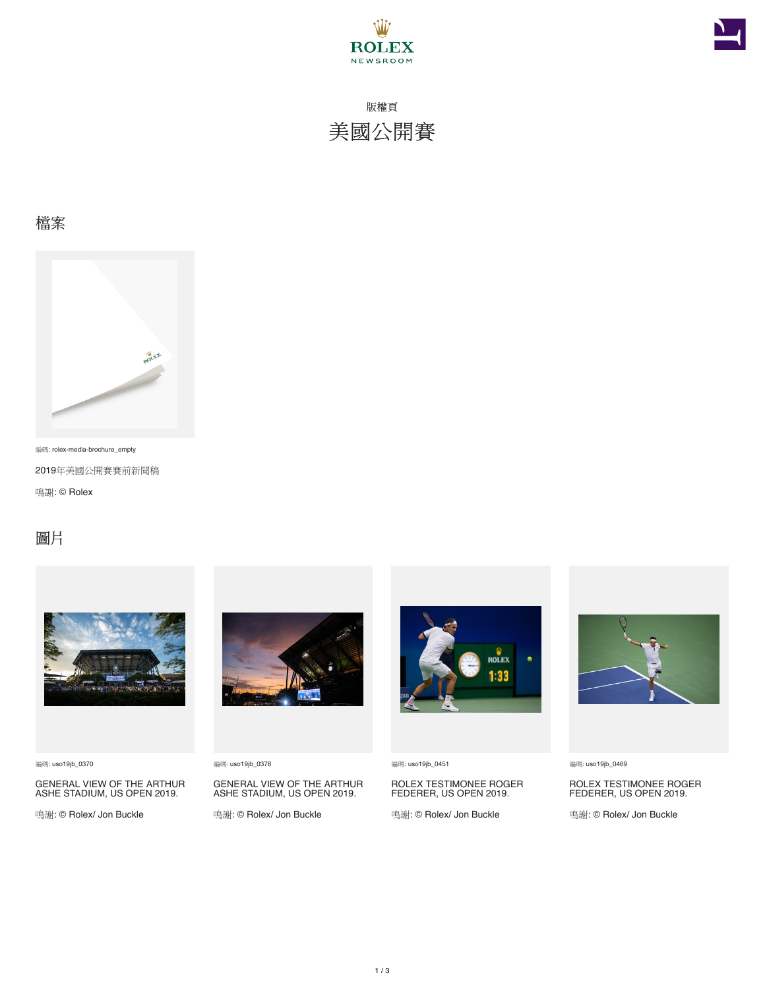



版權頁 美國公開賽

#### 檔案



編碼: rolex-media-brochure\_empty

2019年美國公開賽賽前新聞稿

鳴謝: © Rolex

### 圖片



編碼: uso19jb\_0370

GENERAL VIEW OF THE ARTHUR ASHE STADIUM, US OPEN 2019.

鳴謝: © Rolex/ Jon Buckle



編碼: uso19jb\_0378

GENERAL VIEW OF THE ARTHUR ASHE STADIUM, US OPEN 2019.

鳴謝: © Rolex/ Jon Buckle



編碼: uso19jb\_0451

ROLEX TESTIMONEE ROGER FEDERER, US OPEN 2019.

鳴謝: © Rolex/ Jon Buckle



編碼: uso19jb\_0469

ROLEX TESTIMONEE ROGER FEDERER, US OPEN 2019.

鳴謝: © Rolex/ Jon Buckle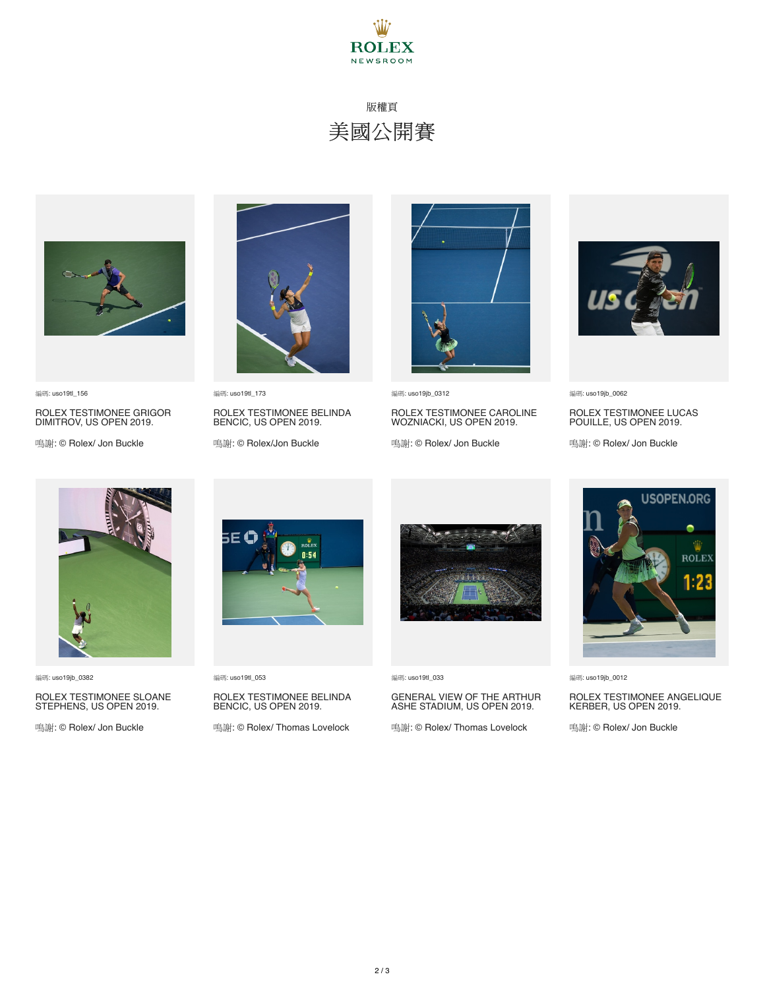

## 版權頁 美國公開賽



編碼: uso19tl\_156

ROLEX TESTIMONEE GRIGOR DIMITROV, US OPEN 2019.

鳴謝: © Rolex/ Jon Buckle



編碼: uso19tl\_173 ROLEX TESTIMONEE BELINDA BENCIC, US OPEN 2019.

鳴謝: © Rolex/Jon Buckle



編碼: uso19jb\_0312

ROLEX TESTIMONEE CAROLINE WOZNIACKI, US OPEN 2019.

鳴謝: © Rolex/ Jon Buckle



編碼: uso19jb\_0062

ROLEX TESTIMONEE LUCAS POUILLE, US OPEN 2019.

鳴謝: © Rolex/ Jon Buckle



編碼: uso19jb\_0382

### ROLEX TESTIMONEE SLOANE STEPHENS, US OPEN 2019.

鳴謝: © Rolex/ Jon Buckle



編碼: uso19tl\_053

## ROLEX TESTIMONEE BELINDA BENCIC, US OPEN 2019.

鳴謝: © Rolex/ Thomas Lovelock



編碼: uso19tl\_033

# GENERAL VIEW OF THE ARTHUR ASHE STADIUM, US OPEN 2019.

鳴謝: © Rolex/ Thomas Lovelock



編碼: uso19jb\_0012

### ROLEX TESTIMONEE ANGELIQUE KERBER, US OPEN 2019.

鳴謝: © Rolex/ Jon Buckle